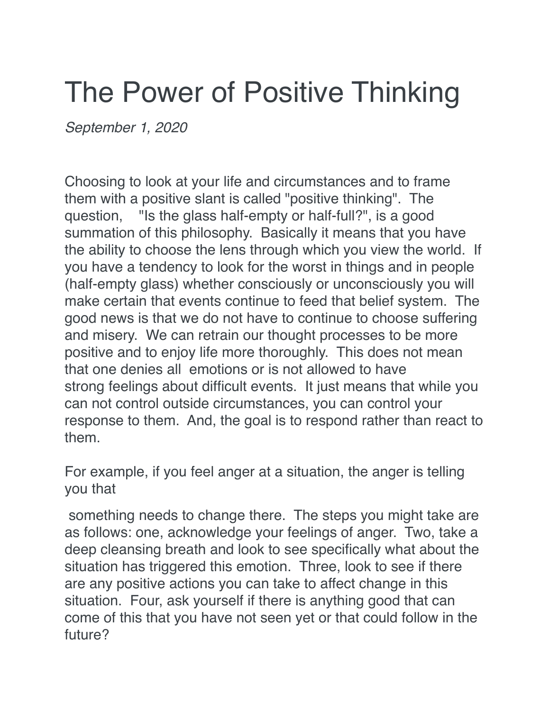## The Power of Positive Thinking

*September 1, 2020*

Choosing to look at your life and circumstances and to frame them with a positive slant is called "positive thinking". The question, "Is the glass half-empty or half-full?", is a good summation of this philosophy. Basically it means that you have the ability to choose the lens through which you view the world. If you have a tendency to look for the worst in things and in people (half-empty glass) whether consciously or unconsciously you will make certain that events continue to feed that belief system. The good news is that we do not have to continue to choose suffering and misery. We can retrain our thought processes to be more positive and to enjoy life more thoroughly. This does not mean that one denies all emotions or is not allowed to have strong feelings about difficult events. It just means that while you can not control outside circumstances, you can control your response to them. And, the goal is to respond rather than react to them.

For example, if you feel anger at a situation, the anger is telling you that

something needs to change there. The steps you might take are as follows: one, acknowledge your feelings of anger. Two, take a deep cleansing breath and look to see specifically what about the situation has triggered this emotion. Three, look to see if there are any positive actions you can take to affect change in this situation. Four, ask yourself if there is anything good that can come of this that you have not seen yet or that could follow in the future?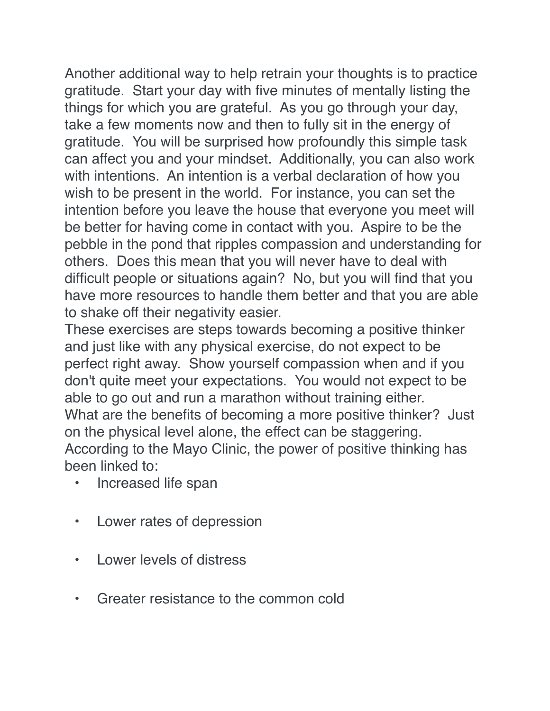Another additional way to help retrain your thoughts is to practice gratitude. Start your day with five minutes of mentally listing the things for which you are grateful. As you go through your day, take a few moments now and then to fully sit in the energy of gratitude. You will be surprised how profoundly this simple task can affect you and your mindset. Additionally, you can also work with intentions. An intention is a verbal declaration of how you wish to be present in the world. For instance, you can set the intention before you leave the house that everyone you meet will be better for having come in contact with you. Aspire to be the pebble in the pond that ripples compassion and understanding for others. Does this mean that you will never have to deal with difficult people or situations again? No, but you will find that you have more resources to handle them better and that you are able to shake off their negativity easier.

These exercises are steps towards becoming a positive thinker and just like with any physical exercise, do not expect to be perfect right away. Show yourself compassion when and if you don't quite meet your expectations. You would not expect to be able to go out and run a marathon without training either. What are the benefits of becoming a more positive thinker? Just on the physical level alone, the effect can be staggering. According to the Mayo Clinic, the power of positive thinking has been linked to:

- Increased life span
- Lower rates of depression
- Lower levels of distress
- Greater resistance to the common cold